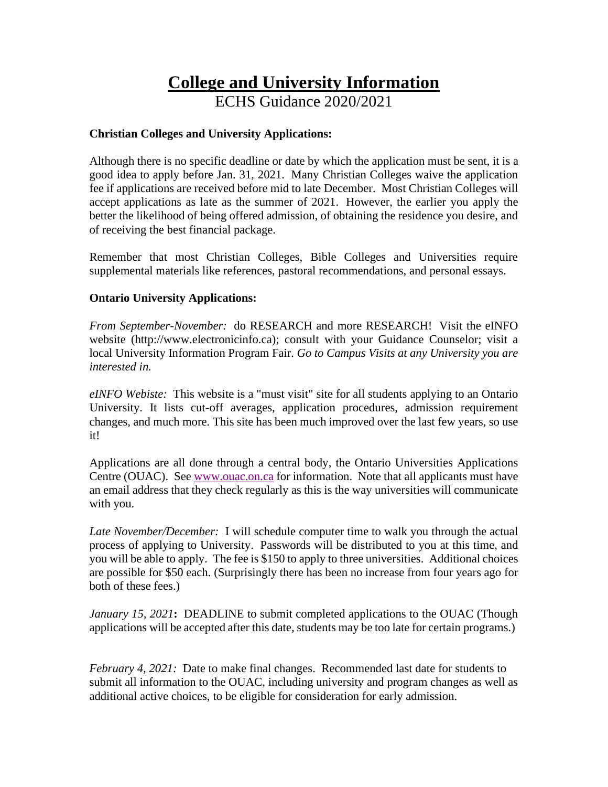# **College and University Information** ECHS Guidance 2020/2021

## **Christian Colleges and University Applications:**

Although there is no specific deadline or date by which the application must be sent, it is a good idea to apply before Jan. 31, 2021. Many Christian Colleges waive the application fee if applications are received before mid to late December. Most Christian Colleges will accept applications as late as the summer of 2021. However, the earlier you apply the better the likelihood of being offered admission, of obtaining the residence you desire, and of receiving the best financial package.

Remember that most Christian Colleges, Bible Colleges and Universities require supplemental materials like references, pastoral recommendations, and personal essays.

### **Ontario University Applications:**

*From September-November:* do RESEARCH and more RESEARCH! Visit the eINFO website (http://www.electronicinfo.ca); consult with your Guidance Counselor; visit a local University Information Program Fair. *Go to Campus Visits at any University you are interested in.*

*eINFO Webiste:* This website is a "must visit" site for all students applying to an Ontario University. It lists cut-off averages, application procedures, admission requirement changes, and much more. This site has been much improved over the last few years, so use it!

Applications are all done through a central body, the Ontario Universities Applications Centre (OUAC). See [www.ouac.on.ca](http://www.ouac.on.ca/) for information. Note that all applicants must have an email address that they check regularly as this is the way universities will communicate with you.

*Late November/December:* I will schedule computer time to walk you through the actual process of applying to University. Passwords will be distributed to you at this time, and you will be able to apply. The fee is \$150 to apply to three universities. Additional choices are possible for \$50 each. (Surprisingly there has been no increase from four years ago for both of these fees.)

*January 15, 2021***:** DEADLINE to submit completed applications to the OUAC (Though applications will be accepted after this date, students may be too late for certain programs.)

*February 4, 2021:* Date to make final changes. Recommended last date for students to submit all information to the OUAC, including university and program changes as well as additional active choices, to be eligible for consideration for early admission.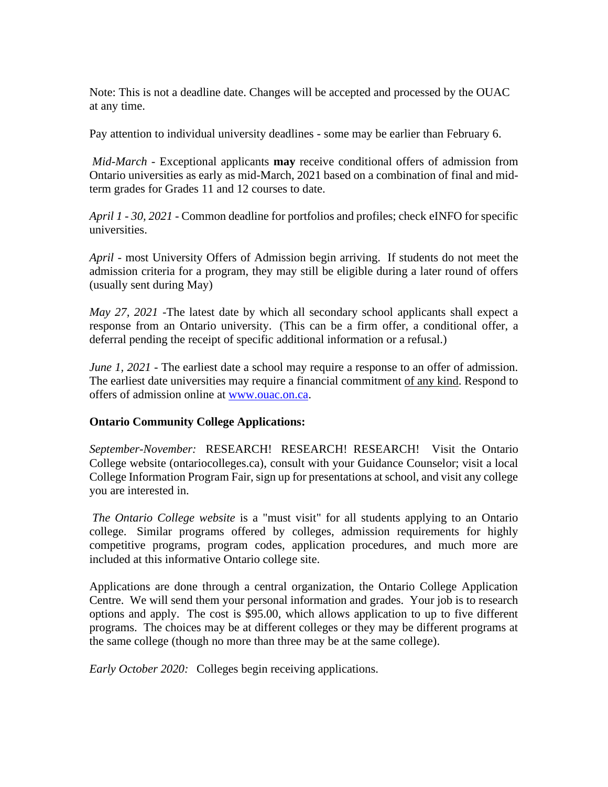Note: This is not a deadline date. Changes will be accepted and processed by the OUAC at any time.

Pay attention to individual university deadlines - some may be earlier than February 6.

*Mid-March* - Exceptional applicants **may** receive conditional offers of admission from Ontario universities as early as mid-March, 2021 based on a combination of final and midterm grades for Grades 11 and 12 courses to date.

*April 1 - 30, 2021* - Common deadline for portfolios and profiles; check eINFO for specific universities.

*April -* most University Offers of Admission begin arriving. If students do not meet the admission criteria for a program, they may still be eligible during a later round of offers (usually sent during May)

*May 27, 2021* -The latest date by which all secondary school applicants shall expect a response from an Ontario university. (This can be a firm offer, a conditional offer, a deferral pending the receipt of specific additional information or a refusal.)

*June* 1, 2021 - The earliest date a school may require a response to an offer of admission. The earliest date universities may require a financial commitment of any kind. Respond to offers of admission online at [www.ouac.on.ca.](http://www.ouac.on.ca/)

# **Ontario Community College Applications:**

*September-November:* RESEARCH! RESEARCH! RESEARCH! Visit the Ontario College website (ontariocolleges.ca), consult with your Guidance Counselor; visit a local College Information Program Fair, sign up for presentations at school, and visit any college you are interested in.

*The Ontario College website* is a "must visit" for all students applying to an Ontario college. Similar programs offered by colleges, admission requirements for highly competitive programs, program codes, application procedures, and much more are included at this informative Ontario college site.

Applications are done through a central organization, the Ontario College Application Centre. We will send them your personal information and grades. Your job is to research options and apply. The cost is \$95.00, which allows application to up to five different programs. The choices may be at different colleges or they may be different programs at the same college (though no more than three may be at the same college).

*Early October 2020:* Colleges begin receiving applications.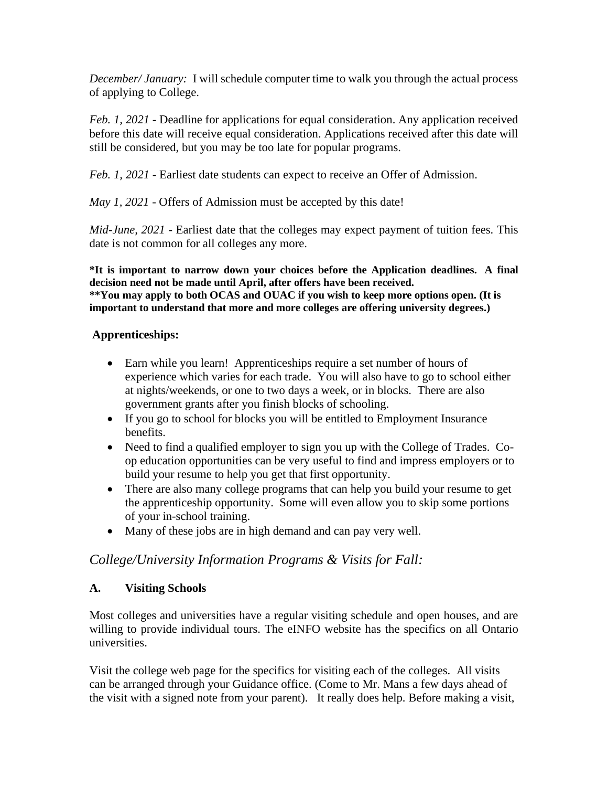*December/ January:* I will schedule computer time to walk you through the actual process of applying to College.

*Feb. 1, 2021* - Deadline for applications for equal consideration. Any application received before this date will receive equal consideration. Applications received after this date will still be considered, but you may be too late for popular programs.

*Feb. 1, 2021* - Earliest date students can expect to receive an Offer of Admission.

*May 1, 2021 -* Offers of Admission must be accepted by this date!

*Mid-June, 2021* - Earliest date that the colleges may expect payment of tuition fees. This date is not common for all colleges any more.

**\*It is important to narrow down your choices before the Application deadlines. A final decision need not be made until April, after offers have been received. \*\*You may apply to both OCAS and OUAC if you wish to keep more options open. (It is important to understand that more and more colleges are offering university degrees.)**

### **Apprenticeships:**

- Earn while you learn! Apprenticeships require a set number of hours of experience which varies for each trade. You will also have to go to school either at nights/weekends, or one to two days a week, or in blocks. There are also government grants after you finish blocks of schooling.
- If you go to school for blocks you will be entitled to Employment Insurance benefits.
- Need to find a qualified employer to sign you up with the College of Trades. Coop education opportunities can be very useful to find and impress employers or to build your resume to help you get that first opportunity.
- There are also many college programs that can help you build your resume to get the apprenticeship opportunity. Some will even allow you to skip some portions of your in-school training.
- Many of these jobs are in high demand and can pay very well.

# *College/University Information Programs & Visits for Fall:*

#### **A. Visiting Schools**

Most colleges and universities have a regular visiting schedule and open houses, and are willing to provide individual tours. The eINFO website has the specifics on all Ontario universities.

Visit the college web page for the specifics for visiting each of the colleges. All visits can be arranged through your Guidance office. (Come to Mr. Mans a few days ahead of the visit with a signed note from your parent). It really does help. Before making a visit,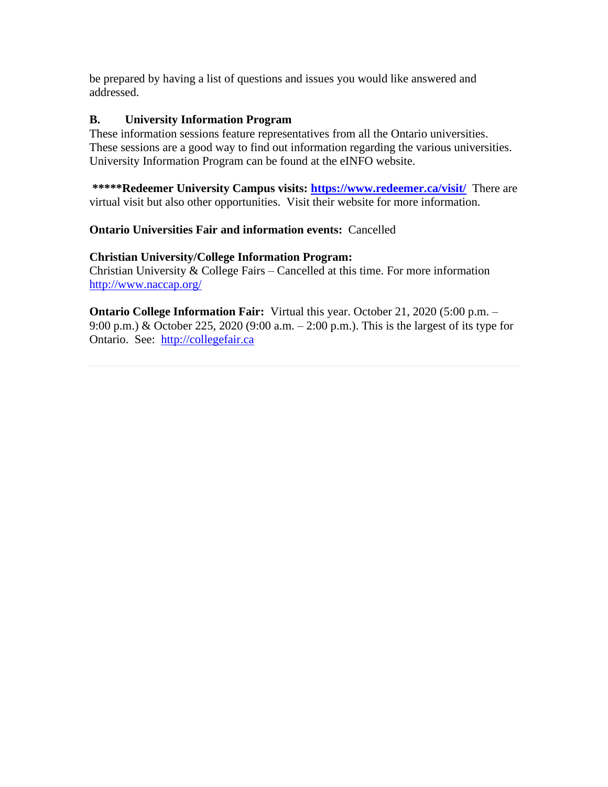be prepared by having a list of questions and issues you would like answered and addressed.

## **B. University Information Program**

These information sessions feature representatives from all the Ontario universities. These sessions are a good way to find out information regarding the various universities. University Information Program can be found at the eINFO website.

**\*\*\*\*\*Redeemer University Campus visits:<https://www.redeemer.ca/visit/>**There are virtual visit but also other opportunities. Visit their website for more information.

**Ontario Universities Fair and information events:** Cancelled

### **Christian University/College Information Program:**

Christian University & College Fairs – Cancelled at this time. For more information <http://www.naccap.org/>

**Ontario College Information Fair:** Virtual this year. October 21, 2020 (5:00 p.m. – 9:00 p.m.) & October 225, 2020 (9:00 a.m. – 2:00 p.m.). This is the largest of its type for Ontario. See: [http://collegefair.ca](http://collegefair.ca/)